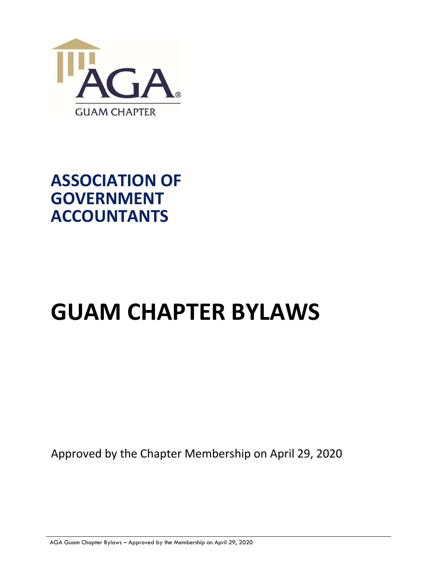

# ASSOCIATION OF GOVERNMENT ACCOUNTANTS

# GUAM CHAPTER BYLAWS

Approved by the Chapter Membership on April 29, 2020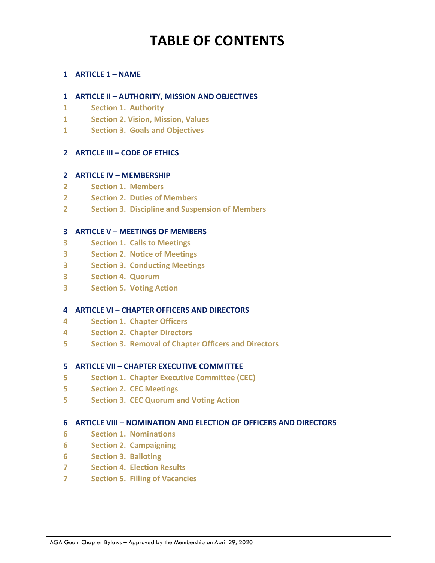# TABLE OF CONTENTS

### 1 ARTICLE 1 – NAME

### 1 ARTICLE II – AUTHORITY, MISSION AND OBJECTIVES

- 1 Section 1. Authority
- 1 Section 2. Vision, Mission, Values
- 1 Section 3. Goals and Objectives

### 2 ARTICLE III – CODE OF ETHICS

#### 2 ARTICLE IV – MEMBERSHIP

- 2 Section 1. Members
- 2 Section 2. Duties of Members
- 2 Section 3. Discipline and Suspension of Members

### 3 ARTICLE V – MEETINGS OF MEMBERS

- 3 Section 1. Calls to Meetings
- 3 Section 2. Notice of Meetings
- 3 Section 3. Conducting Meetings
- 3 Section 4. Quorum
- 3 Section 5. Voting Action

### 4 ARTICLE VI – CHAPTER OFFICERS AND DIRECTORS

- 4 Section 1. Chapter Officers
- 4 Section 2. Chapter Directors
- 5 Section 3. Removal of Chapter Officers and Directors

#### 5 ARTICLE VII – CHAPTER EXECUTIVE COMMITTEE

- 5 Section 1. Chapter Executive Committee (CEC)
- 5 Section 2. CEC Meetings
- 5 Section 3. CEC Quorum and Voting Action

### 6 ARTICLE VIII – NOMINATION AND ELECTION OF OFFICERS AND DIRECTORS

- 6 Section 1. Nominations
- 6 Section 2. Campaigning
- 6 Section 3. Balloting
- 7 Section 4. Election Results
- 7 Section 5. Filling of Vacancies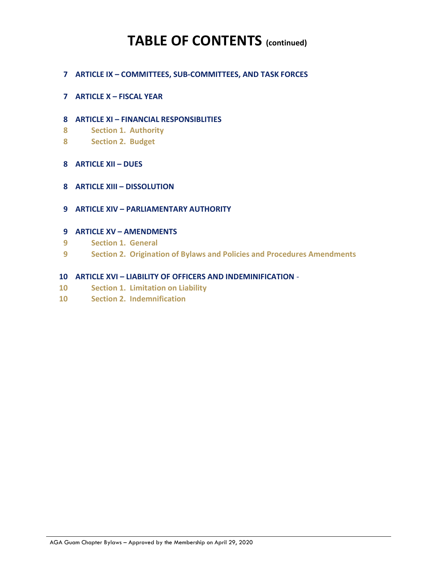## TABLE OF CONTENTS (continued)

- 7 ARTICLE IX COMMITTEES, SUB-COMMITTEES, AND TASK FORCES
- 7 ARTICLE X FISCAL YEAR
- 8 ARTICLE XI FINANCIAL RESPONSIBLITIES
- 8 Section 1. Authority
- 8 Section 2. Budget
- 8 ARTICLE XII DUES
- 8 ARTICLE XIII DISSOLUTION
- 9 ARTICLE XIV PARLIAMENTARY AUTHORITY
- 9 ARTICLE XV AMENDMENTS
- 9 Section 1. General
- 9 Section 2. Origination of Bylaws and Policies and Procedures Amendments
- 10 ARTICLE XVI LIABILITY OF OFFICERS AND INDEMINIFICATION -
- 10 Section 1. Limitation on Liability
- 10 Section 2. Indemnification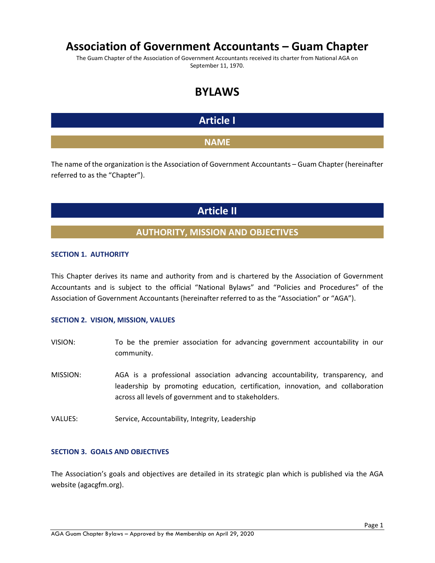### Association of Government Accountants – Guam Chapter

The Guam Chapter of the Association of Government Accountants received its charter from National AGA on September 11, 1970.

### BYLAWS

### Article I

### **NAME**

The name of the organization is the Association of Government Accountants – Guam Chapter (hereinafter referred to as the "Chapter").

### Article II

### AUTHORITY, MISSION AND OBJECTIVES

### SECTION 1. AUTHORITY

This Chapter derives its name and authority from and is chartered by the Association of Government Accountants and is subject to the official "National Bylaws" and "Policies and Procedures" of the Association of Government Accountants (hereinafter referred to as the "Association" or "AGA").

### SECTION 2. VISION, MISSION, VALUES

- VISION: To be the premier association for advancing government accountability in our community.
- MISSION: AGA is a professional association advancing accountability, transparency, and leadership by promoting education, certification, innovation, and collaboration across all levels of government and to stakeholders.
- VALUES: Service, Accountability, Integrity, Leadership

### SECTION 3. GOALS AND OBJECTIVES

The Association's goals and objectives are detailed in its strategic plan which is published via the AGA website (agacgfm.org).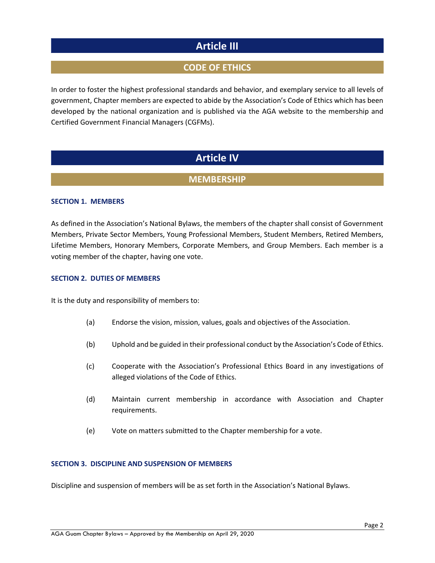### Article III

### CODE OF ETHICS

In order to foster the highest professional standards and behavior, and exemplary service to all levels of government, Chapter members are expected to abide by the Association's Code of Ethics which has been developed by the national organization and is published via the AGA website to the membership and Certified Government Financial Managers (CGFMs).

### Article IV

### **MEMBERSHIP**

### SECTION 1. MEMBERS

As defined in the Association's National Bylaws, the members of the chapter shall consist of Government Members, Private Sector Members, Young Professional Members, Student Members, Retired Members, Lifetime Members, Honorary Members, Corporate Members, and Group Members. Each member is a voting member of the chapter, having one vote.

#### SECTION 2. DUTIES OF MEMBERS

It is the duty and responsibility of members to:

- (a) Endorse the vision, mission, values, goals and objectives of the Association.
- (b) Uphold and be guided in their professional conduct by the Association's Code of Ethics.
- (c) Cooperate with the Association's Professional Ethics Board in any investigations of alleged violations of the Code of Ethics.
- (d) Maintain current membership in accordance with Association and Chapter requirements.
- (e) Vote on matters submitted to the Chapter membership for a vote.

#### SECTION 3. DISCIPLINE AND SUSPENSION OF MEMBERS

Discipline and suspension of members will be as set forth in the Association's National Bylaws.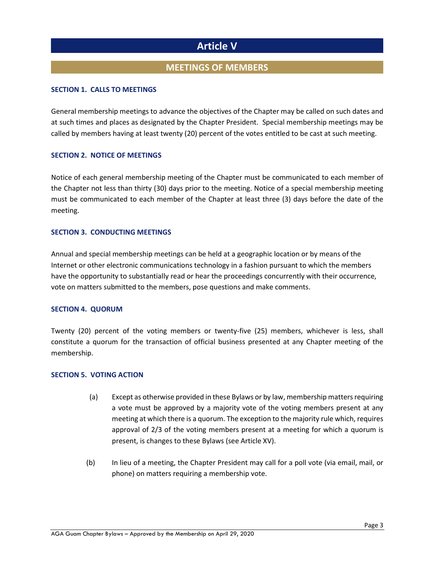### Article V

### MEETINGS OF MEMBERS

### SECTION 1. CALLS TO MEETINGS

General membership meetings to advance the objectives of the Chapter may be called on such dates and at such times and places as designated by the Chapter President. Special membership meetings may be called by members having at least twenty (20) percent of the votes entitled to be cast at such meeting.

#### SECTION 2. NOTICE OF MEETINGS

Notice of each general membership meeting of the Chapter must be communicated to each member of the Chapter not less than thirty (30) days prior to the meeting. Notice of a special membership meeting must be communicated to each member of the Chapter at least three (3) days before the date of the meeting.

### SECTION 3. CONDUCTING MEETINGS

Annual and special membership meetings can be held at a geographic location or by means of the Internet or other electronic communications technology in a fashion pursuant to which the members have the opportunity to substantially read or hear the proceedings concurrently with their occurrence, vote on matters submitted to the members, pose questions and make comments.

#### SECTION 4. QUORUM

Twenty (20) percent of the voting members or twenty-five (25) members, whichever is less, shall constitute a quorum for the transaction of official business presented at any Chapter meeting of the membership.

### SECTION 5. VOTING ACTION

- (a) Except as otherwise provided in these Bylaws or by law, membership matters requiring a vote must be approved by a majority vote of the voting members present at any meeting at which there is a quorum. The exception to the majority rule which, requires approval of 2/3 of the voting members present at a meeting for which a quorum is present, is changes to these Bylaws (see Article XV).
- (b) In lieu of a meeting, the Chapter President may call for a poll vote (via email, mail, or phone) on matters requiring a membership vote.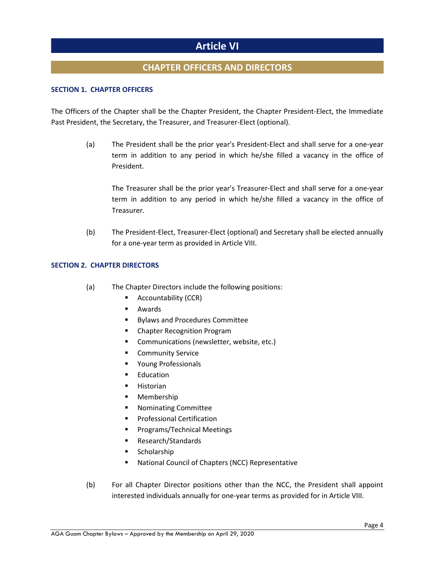### Article VI

### CHAPTER OFFICERS AND DIRECTORS

### SECTION 1. CHAPTER OFFICERS

The Officers of the Chapter shall be the Chapter President, the Chapter President-Elect, the Immediate Past President, the Secretary, the Treasurer, and Treasurer-Elect (optional).

> (a) The President shall be the prior year's President-Elect and shall serve for a one-year term in addition to any period in which he/she filled a vacancy in the office of President.

The Treasurer shall be the prior year's Treasurer-Elect and shall serve for a one-year term in addition to any period in which he/she filled a vacancy in the office of Treasurer.

(b) The President-Elect, Treasurer-Elect (optional) and Secretary shall be elected annually for a one-year term as provided in Article VIII.

### SECTION 2. CHAPTER DIRECTORS

- (a) The Chapter Directors include the following positions:
	- **Accountability (CCR)**
	- Awards
	- **Bylaws and Procedures Committee**
	- Chapter Recognition Program
	- **Communications (newsletter, website, etc.)**
	- Community Service
	- **Parage Professionals**
	- **Education**
	- **Historian**
	- **Membership**
	- **Nominating Committee**
	- **Professional Certification**
	- **Programs/Technical Meetings**
	- Research/Standards
	- **Scholarship**
	- **National Council of Chapters (NCC) Representative**
- (b) For all Chapter Director positions other than the NCC, the President shall appoint interested individuals annually for one-year terms as provided for in Article VIII.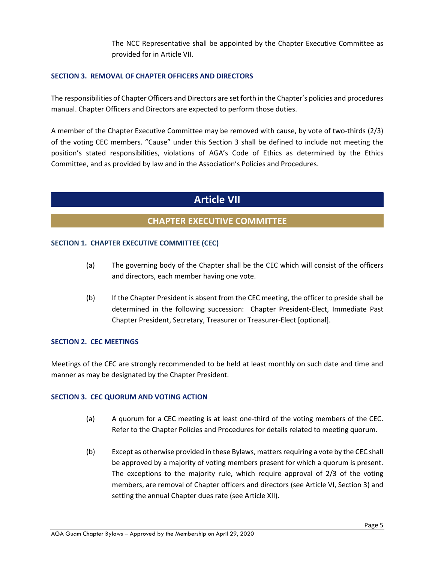The NCC Representative shall be appointed by the Chapter Executive Committee as provided for in Article VII.

### SECTION 3. REMOVAL OF CHAPTER OFFICERS AND DIRECTORS

The responsibilities of Chapter Officers and Directors are set forth in the Chapter's policies and procedures manual. Chapter Officers and Directors are expected to perform those duties.

A member of the Chapter Executive Committee may be removed with cause, by vote of two-thirds (2/3) of the voting CEC members. "Cause" under this Section 3 shall be defined to include not meeting the position's stated responsibilities, violations of AGA's Code of Ethics as determined by the Ethics Committee, and as provided by law and in the Association's Policies and Procedures.

### Article VII

### CHAPTER EXECUTIVE COMMITTEE

### SECTION 1. CHAPTER EXECUTIVE COMMITTEE (CEC)

- (a) The governing body of the Chapter shall be the CEC which will consist of the officers and directors, each member having one vote.
- (b) If the Chapter President is absent from the CEC meeting, the officer to preside shall be determined in the following succession: Chapter President-Elect, Immediate Past Chapter President, Secretary, Treasurer or Treasurer-Elect [optional].

### SECTION 2. CEC MEETINGS

Meetings of the CEC are strongly recommended to be held at least monthly on such date and time and manner as may be designated by the Chapter President.

### SECTION 3. CEC QUORUM AND VOTING ACTION

- (a) A quorum for a CEC meeting is at least one-third of the voting members of the CEC. Refer to the Chapter Policies and Procedures for details related to meeting quorum.
- (b) Except as otherwise provided in these Bylaws, matters requiring a vote by the CEC shall be approved by a majority of voting members present for which a quorum is present. The exceptions to the majority rule, which require approval of 2/3 of the voting members, are removal of Chapter officers and directors (see Article VI, Section 3) and setting the annual Chapter dues rate (see Article XII).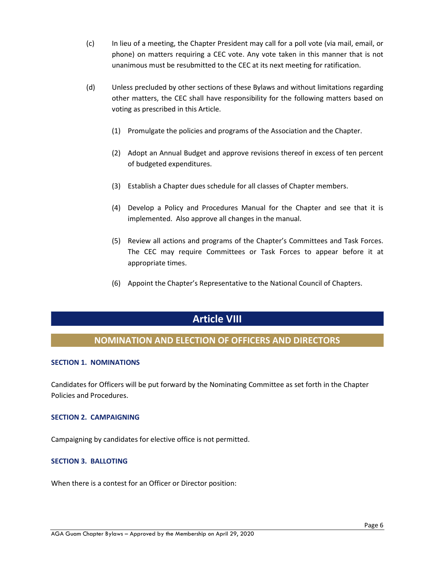- (c) In lieu of a meeting, the Chapter President may call for a poll vote (via mail, email, or phone) on matters requiring a CEC vote. Any vote taken in this manner that is not unanimous must be resubmitted to the CEC at its next meeting for ratification.
- (d) Unless precluded by other sections of these Bylaws and without limitations regarding other matters, the CEC shall have responsibility for the following matters based on voting as prescribed in this Article.
	- (1) Promulgate the policies and programs of the Association and the Chapter.
	- (2) Adopt an Annual Budget and approve revisions thereof in excess of ten percent of budgeted expenditures.
	- (3) Establish a Chapter dues schedule for all classes of Chapter members.
	- (4) Develop a Policy and Procedures Manual for the Chapter and see that it is implemented. Also approve all changes in the manual.
	- (5) Review all actions and programs of the Chapter's Committees and Task Forces. The CEC may require Committees or Task Forces to appear before it at appropriate times.
	- (6) Appoint the Chapter's Representative to the National Council of Chapters.

### Article VIII

### NOMINATION AND ELECTION OF OFFICERS AND DIRECTORS

### SECTION 1. NOMINATIONS

Candidates for Officers will be put forward by the Nominating Committee as set forth in the Chapter Policies and Procedures.

#### SECTION 2. CAMPAIGNING

Campaigning by candidates for elective office is not permitted.

### SECTION 3. BALLOTING

When there is a contest for an Officer or Director position: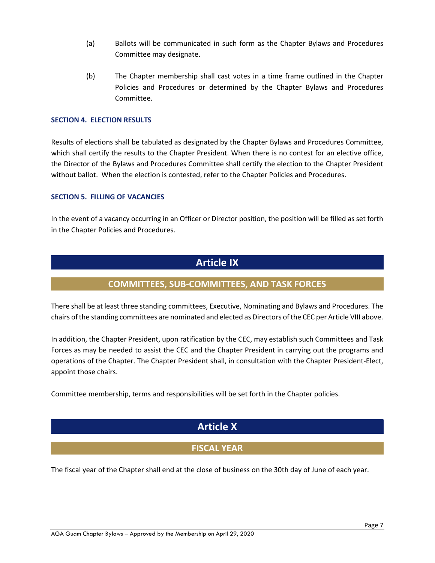- (a) Ballots will be communicated in such form as the Chapter Bylaws and Procedures Committee may designate.
- (b) The Chapter membership shall cast votes in a time frame outlined in the Chapter Policies and Procedures or determined by the Chapter Bylaws and Procedures Committee.

#### SECTION 4. ELECTION RESULTS

Results of elections shall be tabulated as designated by the Chapter Bylaws and Procedures Committee, which shall certify the results to the Chapter President. When there is no contest for an elective office, the Director of the Bylaws and Procedures Committee shall certify the election to the Chapter President without ballot. When the election is contested, refer to the Chapter Policies and Procedures.

#### SECTION 5. FILLING OF VACANCIES

In the event of a vacancy occurring in an Officer or Director position, the position will be filled as set forth in the Chapter Policies and Procedures.

### Article IX

### COMMITTEES, SUB-COMMITTEES, AND TASK FORCES

There shall be at least three standing committees, Executive, Nominating and Bylaws and Procedures. The chairs of the standing committees are nominated and elected as Directors of the CEC per Article VIII above.

In addition, the Chapter President, upon ratification by the CEC, may establish such Committees and Task Forces as may be needed to assist the CEC and the Chapter President in carrying out the programs and operations of the Chapter. The Chapter President shall, in consultation with the Chapter President-Elect, appoint those chairs.

Committee membership, terms and responsibilities will be set forth in the Chapter policies.

### Article X

### FISCAL YEAR

The fiscal year of the Chapter shall end at the close of business on the 30th day of June of each year.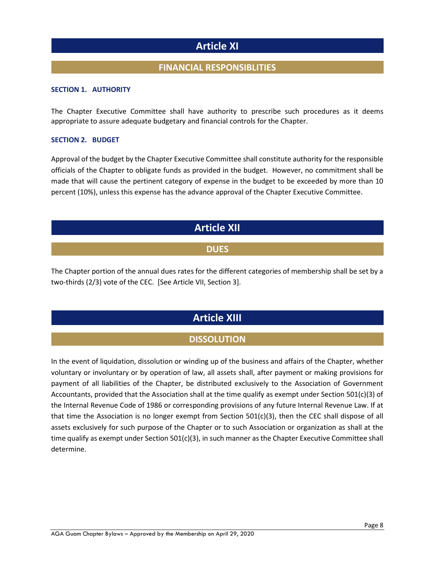### Article XI

### FINANCIAL RESPONSIBLITIES

#### SECTION 1. AUTHORITY

The Chapter Executive Committee shall have authority to prescribe such procedures as it deems appropriate to assure adequate budgetary and financial controls for the Chapter.

#### SECTION 2. BUDGET

Approval of the budget by the Chapter Executive Committee shall constitute authority for the responsible officials of the Chapter to obligate funds as provided in the budget. However, no commitment shall be made that will cause the pertinent category of expense in the budget to be exceeded by more than 10 percent (10%), unless this expense has the advance approval of the Chapter Executive Committee.

### Article XII

### **DUES**

The Chapter portion of the annual dues rates for the different categories of membership shall be set by a two-thirds (2/3) vote of the CEC. [See Article VII, Section 3].

### Article XIII

### **DISSOLUTION**

In the event of liquidation, dissolution or winding up of the business and affairs of the Chapter, whether voluntary or involuntary or by operation of law, all assets shall, after payment or making provisions for payment of all liabilities of the Chapter, be distributed exclusively to the Association of Government Accountants, provided that the Association shall at the time qualify as exempt under Section 501(c)(3) of the Internal Revenue Code of 1986 or corresponding provisions of any future Internal Revenue Law. If at that time the Association is no longer exempt from Section  $501(c)(3)$ , then the CEC shall dispose of all assets exclusively for such purpose of the Chapter or to such Association or organization as shall at the time qualify as exempt under Section 501(c)(3), in such manner as the Chapter Executive Committee shall determine.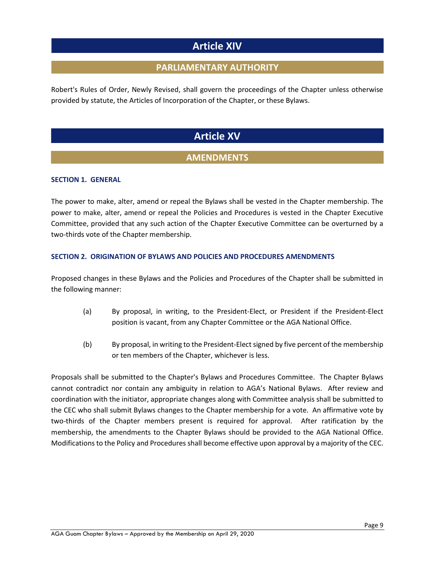### Article XIV

### PARLIAMENTARY AUTHORITY

Robert's Rules of Order, Newly Revised, shall govern the proceedings of the Chapter unless otherwise provided by statute, the Articles of Incorporation of the Chapter, or these Bylaws.

### Article XV

### **AMENDMENTS**

### SECTION 1. GENERAL

The power to make, alter, amend or repeal the Bylaws shall be vested in the Chapter membership. The power to make, alter, amend or repeal the Policies and Procedures is vested in the Chapter Executive Committee, provided that any such action of the Chapter Executive Committee can be overturned by a two-thirds vote of the Chapter membership.

### SECTION 2. ORIGINATION OF BYLAWS AND POLICIES AND PROCEDURES AMENDMENTS

Proposed changes in these Bylaws and the Policies and Procedures of the Chapter shall be submitted in the following manner:

- (a) By proposal, in writing, to the President-Elect, or President if the President-Elect position is vacant, from any Chapter Committee or the AGA National Office.
- (b) By proposal, in writing to the President-Elect signed by five percent of the membership or ten members of the Chapter, whichever is less.

Proposals shall be submitted to the Chapter's Bylaws and Procedures Committee. The Chapter Bylaws cannot contradict nor contain any ambiguity in relation to AGA's National Bylaws. After review and coordination with the initiator, appropriate changes along with Committee analysis shall be submitted to the CEC who shall submit Bylaws changes to the Chapter membership for a vote. An affirmative vote by two-thirds of the Chapter members present is required for approval. After ratification by the membership, the amendments to the Chapter Bylaws should be provided to the AGA National Office. Modifications to the Policy and Procedures shall become effective upon approval by a majority of the CEC.